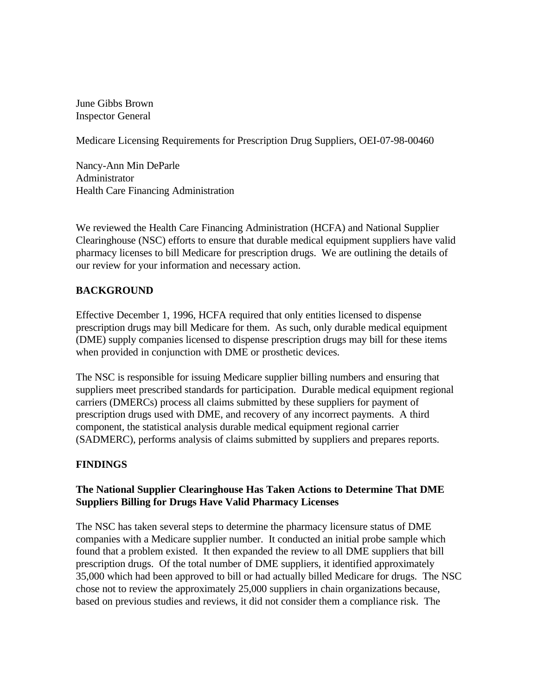June Gibbs Brown Inspector General

Medicare Licensing Requirements for Prescription Drug Suppliers, OEI-07-98-00460

Nancy-Ann Min DeParle Administrator Health Care Financing Administration

We reviewed the Health Care Financing Administration (HCFA) and National Supplier Clearinghouse (NSC) efforts to ensure that durable medical equipment suppliers have valid pharmacy licenses to bill Medicare for prescription drugs. We are outlining the details of our review for your information and necessary action.

## **BACKGROUND**

Effective December 1, 1996, HCFA required that only entities licensed to dispense prescription drugs may bill Medicare for them. As such, only durable medical equipment (DME) supply companies licensed to dispense prescription drugs may bill for these items when provided in conjunction with DME or prosthetic devices.

The NSC is responsible for issuing Medicare supplier billing numbers and ensuring that suppliers meet prescribed standards for participation. Durable medical equipment regional carriers (DMERCs) process all claims submitted by these suppliers for payment of prescription drugs used with DME, and recovery of any incorrect payments. A third component, the statistical analysis durable medical equipment regional carrier (SADMERC), performs analysis of claims submitted by suppliers and prepares reports.

### **FINDINGS**

### **The National Supplier Clearinghouse Has Taken Actions to Determine That DME Suppliers Billing for Drugs Have Valid Pharmacy Licenses**

The NSC has taken several steps to determine the pharmacy licensure status of DME companies with a Medicare supplier number. It conducted an initial probe sample which found that a problem existed. It then expanded the review to all DME suppliers that bill prescription drugs. Of the total number of DME suppliers, it identified approximately 35,000 which had been approved to bill or had actually billed Medicare for drugs. The NSC chose not to review the approximately 25,000 suppliers in chain organizations because, based on previous studies and reviews, it did not consider them a compliance risk. The